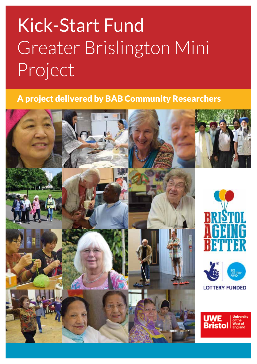# Kick-Start Fund Greater Brislington Mini Project

### A project delivered by BAB Community Researchers

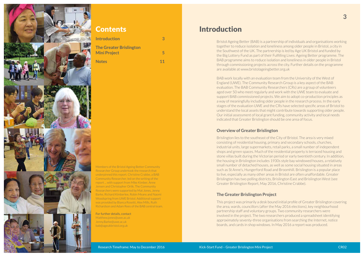

# Introduction

Bristol Ageing Better (BAB) is a partnership of individuals and organisations working together to reduce isolation and loneliness among older people in Bristol, a city in the Southwest of the UK. The partnership is led by Age UK Bristol and funded by the Big Lottery Fund as part of their Fulfilling Lives: Ageing Better programme. The BAB programme aims to reduce isolation and loneliness in older people in Bristol through commissioning projects across the city. Further details on the programme are available at www.bristolageingbetter.org.uk

BAB work locally with an evaluation team from the University of the West of England (UWE). The Community Research Group is a key aspect of the BAB evaluation. The BAB Community Researchers (CRs) are a group of volunteers aged over 50 who meet regularly and work with the UWE team to evaluate and support BAB commissioned projects. We aim to adopt co-production principles as a way of meaningfully including older people in the research process. In the early stages of the evaluation UWE and the CRs have selected specific areas of Bristol to understand the local assets that might contribute towards supporting older people. Our initial assessment of local grant funding, community activity and local needs indicated that Greater Brislington should be one area of focus.

#### **Overview of Greater Brislington**

Brislington lies to the southeast of the City of Bristol. The area is very mixed consisting of residential housing, primary and secondary schools, churches, industrial units, large supermarkets, retail parks, a small number of independent shops and green spaces. Much of the residential property is terraced housing and stone villas built during the Victorian period or early twentieth century. In addition, the housing in Brislington includes 1930s style bay windowed houses, a relatively small number of detached houses, as well as some social housing situated in areas such as St Anne's, Hungerford Road and Broomhill. Brislington is a popular place to live, especially as many other areas in Bristol are often unaffordable. Greater Brislington has two polling districts, Brislington East and Brislington West (see Greater Brislington Report, May 2016, Christine Crabbe).

### **The Greater Brislington Project**

This project was primarily a desk bound initial profile of Greater Brislington covering the area, wards, councillors (after the May 2016 elections), key neighbourhood partnership staff and voluntary groups. Two community researchers were involved in the project. The two researchers produced a spreadsheet identifying approximately seventy-three organisations from searching the Internet, notice boards, and cards in shop windows. In May 2016 a report was produced.

### Contents

| <b>Introduction</b>            | 3  |
|--------------------------------|----|
| <b>The Greater Brislington</b> |    |
| <b>Mini Project</b>            | 5  |
| <b>Notes</b>                   | 11 |

Members of the Bristol Ageing Better Community Researcher Group undertook the research that underpinned this report. Christine Crabbe, a BAB Community Researcher, led on the writing of the report ... with support from Mike Kimber, Anne Jensen and Christopher Orlik. The Community Researchers were supported by Mat Jones, Jenny Barke, Richard Kimberlee, Robin Means and Naomi Woodspring from UWE Bristol. Additional support was provided by Bianca Rosetti, Alex Mills, Ruth Richardson and Adam Rees of the BAB central team.

For further details, contact Matthew.jones@uwe.ac.uk Jenny.Barke@uwe.ac.uk bab@ageukbristol.org.uk

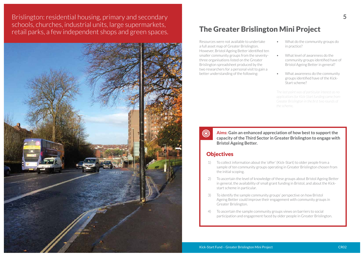**4 5** Brislington: residential housing, primary and secondary schools, churches, industrial units, large supermarkets, retail parks, a few independent shops and green spaces.<br>The Greater Brislington Mini Project



Resources were not available to undertake a full asset map of Greater Brislington. However, Bristol Ageing Better identified ten smaller community groups from the seventythree organisations listed on the Greater Brislington spreadsheet produced by the two researchers for a personal visit to gain a better understanding of the following:

- What do the community groups do in practice?
- What level of awareness do the community groups identified have of Bristol Ageing Better in general?
- What awareness do the community groups identified have of the Kick-Start scheme?

*The last point was of particular interest as no applications for Kick-Start funding came from Greater Brislington in the first two rounds of the scheme.*

sample of ten community groups operating in Greater Brislington chosen from

in general, the availability of small grant funding in Bristol, and about the Kick-



- 1) To collect information about the 'offer' (Kick-Start) to older people from a the initial scoping.
- 2) To ascertain the level of knowledge of these groups about Bristol Ageing Better start scheme in particular.
- 3) To identify the sample community groups' perspective on how Bristol Ageing Better could improve their engagement with community groups in Greater Brislington.
- 4) To ascertain the sample community groups views on barriers to social participation and engagement faced by older people in Greater Brislington.

### **Aims: Gain an enhanced appreciation of how best to support the capacity of the Third Sector in Greater Brislington to engage with**

**Bristol Ageing Better.**

### **Objectives**

 $\circledcirc$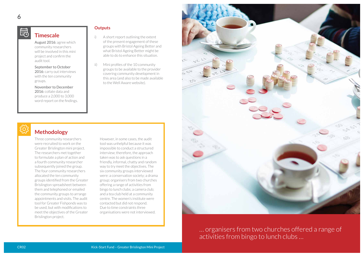

#### **Outputs**

- i) A short report outlining the extent of the present engagement of these groups with Bristol Ageing Better and what Bristol Ageing Better might be able to do to enhance this situation.
- ii) Mini profiles of the 10 community groups to be available to the provider covering community development in this area (and also to be made available to the Well Aware website).

# **Methodology**

Three community researchers were recruited to work on the Greater Brislington mini project. The researchers met together to formulate a plan of action and a fourth community researcher subsequently joined the group. The four community researchers allocated the ten community groups identified from the Greater Brislington spreadsheet between them and telephoned or emailed the community groups to arrange appointments and visits. The audit tool for Greater Fishponds was to be used, but with modifications to meet the objectives of the Greater Brislington project.

However, in some cases, the audit tool was unhelpful because it was impossible to conduct a structured interview; therefore, the approach taken was to ask questions in a friendly, informal, chatty and random way to try meet the objectives. The six community groups interviewed were: a conservation society; a drama group; organisers from two churches offering a range of activities from bingo to lunch clubs; a camera club; and a tea club held at a community centre. The women's institute were contacted but did not respond. Due to time constraints three organisations were not interviewed.



### **Timescale**

August 2016: agree which community researchers will be involved in this mini project and confirm the audit tool.

September to October 2016: carry out interviews with the ten community groups.

November to December 2016: collate data and produce a 2,000 to 3,000 word report on the findings.



# … organisers from two churches offered a range of activities from bingo to lunch clubs …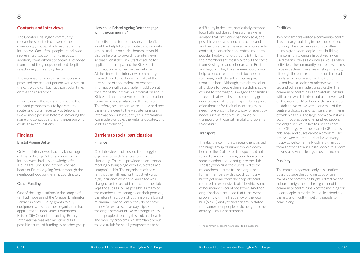#### **Contacts and interviews**

The Greater Brislington community researchers contacted seven of the ten community groups, which resulted in five interviews. One of the people interviewed represented two community groups. In addition, it was difficult to obtain a response from one of the groups identified despite telephoning and sending texts.

The organiser on more than one occasion promised the relevant person would return the call, would call back at a particular time, or text the researcher.

In some cases, the researchers found the relevant person to talk to by a circuitous route, and it was necessary to telephone two or more persons before discovering the name and contact details of the person who could answer questions.

#### **Findings**

#### Bristol Ageing Better

Only one interviewee had any knowledge of Bristol Ageing Better and none of the interviewees had any knowledge of the Kick-Start Fund. One interviewee had heard of Bristol Ageing Better through the neighbourhood partnership coordinator.

#### Other Funding

One of the organisations in the sample of ten had made use of the Greater Brislington Partnership Well Being grants to buy equipment whilst another organisation had applied to the John James Foundation and Bristol City Council for funding. Rotary International was also mentioned as a possible source of funding by another group.

#### How could Bristol Ageing Better engage with the community?

Publicity in the form of posters and leaflets would be helpful to distribute to community groups and pin on notice boards. It would also be helpful to co-ordinate interviews so that even if the Kick-Start deadline for applications had passed the Kick-Start information remained on the website. At the time of the interviews community researchers did not know the date of the next round of applications, or when the information will be available. In addition, at the time of the interviews information about Kick-Start and the downloadable application forms were not available on the website. Therefore, researchers were unable to direct the interviewees to the website for more information. (Subsequently this information was made available, the website updated, and leaflets produced.)

#### **Barriers to social participation**

#### Finance

One interviewee discussed the struggle experienced with finances to keep their club going. This club provided an afternoon meeting playing bingo with a cup of tea and companionship. The organisers of the club felt that the hall rent for this activity was high, insurance expensive, and a fee was charged for the use of the kitchen. The club kept the subs as low as possible as many of the members are managing on their pension, therefore the club is struggling on the barest minimum. Consequently, they do not have money for extras such as day trips, something the organisers would like to arrange. Many of the people attending this club had health and mobility problems. An affordable venue to hold a club for small groups seems to be

a difficulty in the area, particularly as three local halls had closed. Researchers were advised that one venue had been sold, one possible venue was used as a school and another possible venue used as a nursery. In contrast, an organisation centred round the popular hobby of photography is thriving; their members are mostly over 60 and come from Brislington and other areas in Bristol and beyond. They have received occasional help to purchase equipment, but appear to manage with the subscriptions paid from members. Although, to make the club affordable for people there is a sliding scale of subs for the waged, unwaged and families.\* It seems that whilst some community groups need occasional help perhaps to buy a piece of equipment for their club, other groups need more ongoing help to pay for everyday needs such as rent hire, insurance, or transport for those with mobility problems to continue.

#### **Transport**

The day the community researchers visited the bingo group its numbers were down because the Dial a Ride transport had not turned up despite having been booked so some members could not get to the club. The lady who runs the club talked to the researchers about a trip she organised for her members with a coach company, but to get home from the drop-off point required an expensive taxi ride which some of her members could not afford. Another organisation mentioned that there were problems with the frequency of the local bus (No.36) and yet another group stated that some older people could not get to the activity because of transport.

#### Facilities

Two researchers visited a community centre. This is a large building in the middle of social housing. The interviewee runs a coffee morning for older people in the building. The community centre in past years was used extensively as a church as well as other activities. The community centre now seems to be in decline. There are no shops nearby, although the centre is situated on the road to a large school academy. The kitchen did not have a cooker or microwave, but tea and coffee is made using a kettle. The community centre has a social club upstairs with a bar, which is hired out and advertised on the internet. Members of the social club upstairs have to live within one mile of the centre, although the organisers are thinking of widening this. The large room downstairs accommodates over one hundred people, the organiser would like to use the room for a GP surgery as the nearest GP is a bus ride away and buses can be a problem. The interviewee mentioned that he was very happy to welcome the Muslim faith group from another area in Bristol who hire a room downstairs, which brings in useful income.

#### Publicity

The community centre only has a notice board outside the building to publicise events and something bright, attractive and colourful might help. The organiser of the community centre runs a coffee morning for older people, but only six people attend and there was difficulty in getting people to come along.



\* The community centre now seems to be in decline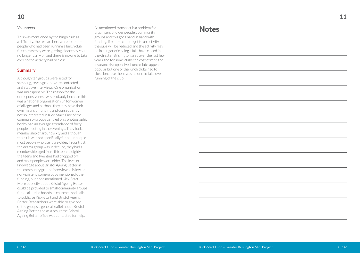### **11**



This was mentioned by the bingo club as a difficulty, the researchers were told that people who had been running a lunch club felt that as they were getting older they could no longer carry on and there is no-one to take over so the activity had to close.

#### **Summary**

Although ten groups were listed for sampling, seven groups were contacted and six gave interviews. One organisation was unresponsive. The reason for the unresponsiveness was probably because this was a national organisation run for women of all ages and perhaps they may have their own means of funding and consequently not so interested in Kick-Start. One of the community groups centred on a photographic hobby had an average attendance of forty people meeting in the evenings. They had a membership of around sixty and although this club was not specifically for older people most people who use it are older. In contrast, the drama group was in decline, they had a membership aged from thirteen to eighty, the teens and twenties had dropped off and most people were older. The level of knowledge about Bristol Ageing Better in the community groups interviewed is low or non-existent, some groups mentioned other funding, but none mentioned Kick-Start. More publicity about Bristol Ageing Better could be provided to small community groups for local notice boards in churches and halls to publicise Kick-Start and Bristol Ageing Better. Researchers were able to give one of the groups a general leaflet about Bristol Ageing Better and as a result the Bristol Ageing Better office was contacted for help.

Volunteers **Note**  $\blacksquare$  As mentioned transport is a problem for  $\blacksquare$ organisers of older people's community groups and this goes hand in hand with funding. If people cannot get to an activity the subs will be reduced and the activity may be in danger of closing. Halls have closed in the Greater Brislington area over the last few years and for some clubs the cost of rent and insurance is expensive. Lunch clubs appear popular but one of the lunch clubs had to close because there was no one to take over running of the club

### **Notes**